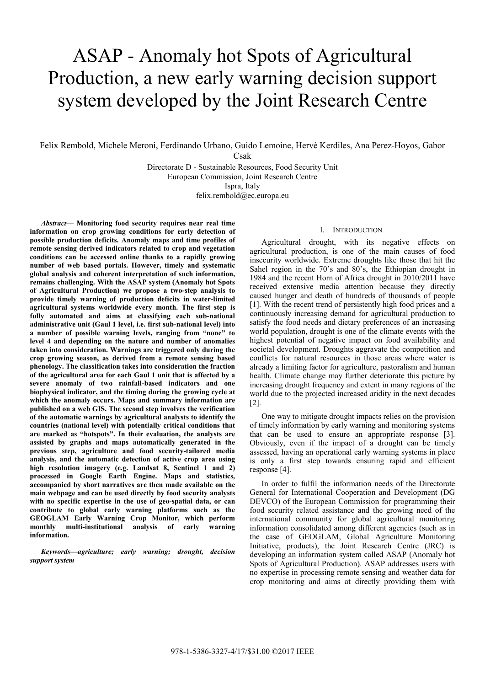# ASAP - Anomaly hot Spots of Agricultural Production, a new early warning decision support system developed by the Joint Research Centre

Felix Rembold, Michele Meroni, Ferdinando Urbano, Guido Lemoine, Hervé Kerdiles, Ana Perez-Hoyos, Gabor Csak

> Directorate D - Sustainable Resources, Food Security Unit European Commission, Joint Research Centre Ispra, Italy felix.rembold@ec.europa.eu

*Abstract***— Monitoring food security requires near real time information on crop growing conditions for early detection of possible production deficits. Anomaly maps and time profiles of remote sensing derived indicators related to crop and vegetation conditions can be accessed online thanks to a rapidly growing number of web based portals. However, timely and systematic global analysis and coherent interpretation of such information, remains challenging. With the ASAP system (Anomaly hot Spots of Agricultural Production) we propose a two-step analysis to provide timely warning of production deficits in water-limited agricultural systems worldwide every month. The first step is fully automated and aims at classifying each sub-national administrative unit (Gaul 1 level, i.e. first sub-national level) into a number of possible warning levels, ranging from "none" to level 4 and depending on the nature and number of anomalies taken into consideration. Warnings are triggered only during the crop growing season, as derived from a remote sensing based phenology. The classification takes into consideration the fraction of the agricultural area for each Gaul 1 unit that is affected by a severe anomaly of two rainfall-based indicators and one biophysical indicator, and the timing during the growing cycle at which the anomaly occurs. Maps and summary information are published on a web GIS. The second step involves the verification of the automatic warnings by agricultural analysts to identify the countries (national level) with potentially critical conditions that are marked as "hotspots". In their evaluation, the analysts are assisted by graphs and maps automatically generated in the previous step, agriculture and food security-tailored media analysis, and the automatic detection of active crop area using high resolution imagery (e.g. Landsat 8, Sentinel 1 and 2) processed in Google Earth Engine. Maps and statistics, accompanied by short narratives are then made available on the main webpage and can be used directly by food security analysts with no specific expertise in the use of geo-spatial data, or can contribute to global early warning platforms such as the GEOGLAM Early Warning Crop Monitor, which perform monthly multi-institutional analysis of early warning information.** 

*Keywords—agriculture; early warning; drought, decision support system* 

## I. INTRODUCTION

Agricultural drought, with its negative effects on agricultural production, is one of the main causes of food insecurity worldwide. Extreme droughts like those that hit the Sahel region in the 70's and 80's, the Ethiopian drought in 1984 and the recent Horn of Africa drought in 2010/2011 have received extensive media attention because they directly caused hunger and death of hundreds of thousands of people [1]. With the recent trend of persistently high food prices and a continuously increasing demand for agricultural production to satisfy the food needs and dietary preferences of an increasing world population, drought is one of the climate events with the highest potential of negative impact on food availability and societal development. Droughts aggravate the competition and conflicts for natural resources in those areas where water is already a limiting factor for agriculture, pastoralism and human health. Climate change may further deteriorate this picture by increasing drought frequency and extent in many regions of the world due to the projected increased aridity in the next decades [2].

One way to mitigate drought impacts relies on the provision of timely information by early warning and monitoring systems that can be used to ensure an appropriate response [3]. Obviously, even if the impact of a drought can be timely assessed, having an operational early warning systems in place is only a first step towards ensuring rapid and efficient response [4].

In order to fulfil the information needs of the Directorate General for International Cooperation and Development (DG DEVCO) of the European Commission for programming their food security related assistance and the growing need of the international community for global agricultural monitoring information consolidated among different agencies (such as in the case of GEOGLAM, Global Agriculture Monitoring Initiative, products), the Joint Research Centre (JRC) is developing an information system called ASAP (Anomaly hot Spots of Agricultural Production). ASAP addresses users with no expertise in processing remote sensing and weather data for crop monitoring and aims at directly providing them with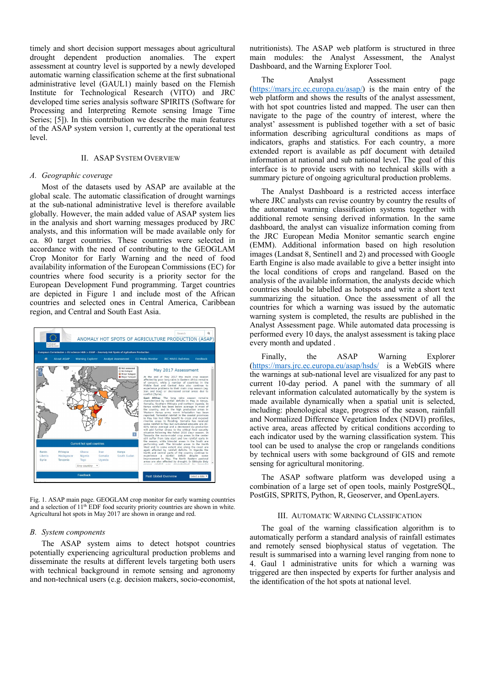timely and short decision support messages about agricultural drought dependent production anomalies. The expert assessment at country level is supported by a newly developed automatic warning classification scheme at the first subnational administrative level (GAUL1) mainly based on the Flemish Institute for Technological Research (VITO) and JRC developed time series analysis software SPIRITS (Software for Processing and Interpreting Remote sensing Image Time Series; [5]). In this contribution we describe the main features of the ASAP system version 1, currently at the operational test level.

#### II. ASAP SYSTEM OVERVIEW

## *A. Geographic coverage*

Most of the datasets used by ASAP are available at the global scale. The automatic classification of drought warnings at the sub-national administrative level is therefore available globally. However, the main added value of ASAP system lies in the analysis and short warning messages produced by JRC analysts, and this information will be made available only for ca. 80 target countries. These countries were selected in accordance with the need of contributing to the GEOGLAM Crop Monitor for Early Warning and the need of food availability information of the European Commissions (EC) for countries where food security is a priority sector for the European Development Fund programming. Target countries are depicted in Figure 1 and include most of the African countries and selected ones in Central America, Caribbean region, and Central and South East Asia.



Fig. 1. ASAP main page. GEOGLAM crop monitor for early warning countries and a selection of  $11<sup>th</sup>$  EDF food security priority countries are shown in white. Agricultural hot spots in May 2017 are shown in orange and red.

#### *B. System components*

The ASAP system aims to detect hotspot countries potentially experiencing agricultural production problems and disseminate the results at different levels targeting both users with technical background in remote sensing and agronomy and non-technical users (e.g. decision makers, socio-economist, nutritionists). The ASAP web platform is structured in three main modules: the Analyst Assessment, the Analyst Dashboard, and the Warning Explorer Tool.

The Analyst Assessment page (https://mars.jrc.ec.europa.eu/asap/) is the main entry of the web platform and shows the results of the analyst assessment, with hot spot countries listed and mapped. The user can then navigate to the page of the country of interest, where the analyst' assessment is published together with a set of basic information describing agricultural conditions as maps of indicators, graphs and statistics. For each country, a more extended report is available as pdf document with detailed information at national and sub national level. The goal of this interface is to provide users with no technical skills with a summary picture of ongoing agricultural production problems.

The Analyst Dashboard is a restricted access interface where JRC analysts can revise country by country the results of the automated warning classification systems together with additional remote sensing derived information. In the same dashboard, the analyst can visualize information coming from the JRC European Media Monitor semantic search engine (EMM). Additional information based on high resolution images (Landsat 8, Sentinel1 and 2) and processed with Google Earth Engine is also made available to give a better insight into the local conditions of crops and rangeland. Based on the analysis of the available information, the analysts decide which countries should be labelled as hotspots and write a short text summarizing the situation. Once the assessment of all the countries for which a warning was issued by the automatic warning system is completed, the results are published in the Analyst Assessment page. While automated data processing is performed every 10 days, the analyst assessment is taking place every month and updated .

Finally, the ASAP Warning Explorer (https://mars.jrc.ec.europa.eu/asap/hsds/ is a WebGIS where the warnings at sub-national level are visualized for any past to current 10-day period. A panel with the summary of all relevant information calculated automatically by the system is made available dynamically when a spatial unit is selected, including: phenological stage, progress of the season, rainfall and Normalized Difference Vegetation Index (NDVI) profiles, active area, areas affected by critical conditions according to each indicator used by the warning classification system. This tool can be used to analyse the crop or rangelands conditions by technical users with some background of GIS and remote sensing for agricultural monitoring.

The ASAP software platform was developed using a combination of a large set of open tools, mainly PostgreSQL, PostGIS, SPRITS, Python, R, Geoserver, and OpenLayers.

#### III. AUTOMATIC WARNING CLASSIFICATION

The goal of the warning classification algorithm is to automatically perform a standard analysis of rainfall estimates and remotely sensed biophysical status of vegetation. The result is summarised into a warning level ranging from none to 4. Gaul 1 administrative units for which a warning was triggered are then inspected by experts for further analysis and the identification of the hot spots at national level.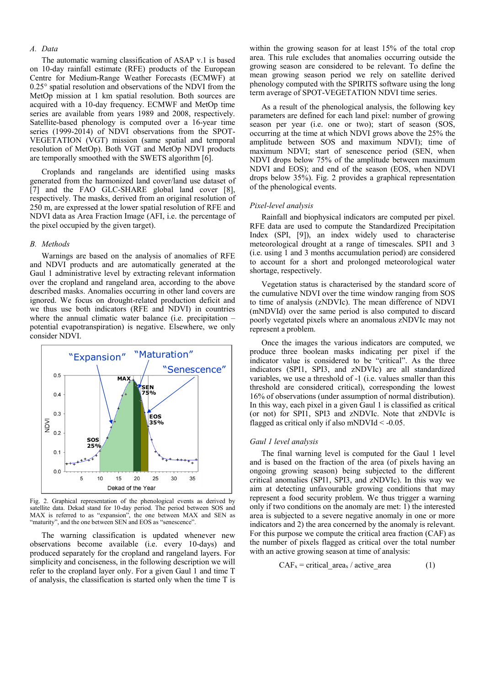### *A. Data*

The automatic warning classification of ASAP v.1 is based on 10-day rainfall estimate (RFE) products of the European Centre for Medium-Range Weather Forecasts (ECMWF) at 0.25° spatial resolution and observations of the NDVI from the MetOp mission at 1 km spatial resolution. Both sources are acquired with a 10-day frequency. ECMWF and MetOp time series are available from years 1989 and 2008, respectively. Satellite-based phenology is computed over a 16-year time series (1999-2014) of NDVI observations from the SPOT-VEGETATION (VGT) mission (same spatial and temporal resolution of MetOp). Both VGT and MetOp NDVI products are temporally smoothed with the SWETS algorithm [6].

Croplands and rangelands are identified using masks generated from the harmonized land cover/land use dataset of [7] and the FAO GLC-SHARE global land cover [8], respectively. The masks, derived from an original resolution of 250 m, are expressed at the lower spatial resolution of RFE and NDVI data as Area Fraction Image (AFI, i.e. the percentage of the pixel occupied by the given target).

#### *B. Methods*

Warnings are based on the analysis of anomalies of RFE and NDVI products and are automatically generated at the Gaul 1 administrative level by extracting relevant information over the cropland and rangeland area, according to the above described masks. Anomalies occurring in other land covers are ignored. We focus on drought-related production deficit and we thus use both indicators (RFE and NDVI) in countries where the annual climatic water balance (i.e. precipitation – potential evapotranspiration) is negative. Elsewhere, we only consider NDVI.



Fig. 2. Graphical representation of the phenological events as derived by satellite data. Dekad stand for 10-day period. The period between SOS and MAX is referred to as "expansion", the one between MAX and SEN as "maturity", and the one between SEN and EOS as "senescence".

The warning classification is updated whenever new observations become available (i.e. every 10-days) and produced separately for the cropland and rangeland layers. For simplicity and conciseness, in the following description we will refer to the cropland layer only. For a given Gaul 1 and time T of analysis, the classification is started only when the time T is within the growing season for at least 15% of the total crop area. This rule excludes that anomalies occurring outside the growing season are considered to be relevant. To define the mean growing season period we rely on satellite derived phenology computed with the SPIRITS software using the long term average of SPOT-VEGETATION NDVI time series.

As a result of the phenological analysis, the following key parameters are defined for each land pixel: number of growing season per year (i.e. one or two); start of season (SOS, occurring at the time at which NDVI grows above the 25% the amplitude between SOS and maximum NDVI); time of maximum NDVI; start of senescence period (SEN, when NDVI drops below 75% of the amplitude between maximum NDVI and EOS); and end of the season (EOS, when NDVI drops below 35%). Fig. 2 provides a graphical representation of the phenological events.

# *Pixel-level analysis*

Rainfall and biophysical indicators are computed per pixel. RFE data are used to compute the Standardized Precipitation Index (SPI, [9]), an index widely used to characterise meteorological drought at a range of timescales. SPI1 and 3 (i.e. using 1 and 3 months accumulation period) are considered to account for a short and prolonged meteorological water shortage, respectively.

Vegetation status is characterised by the standard score of the cumulative NDVI over the time window ranging from SOS to time of analysis (zNDVIc). The mean difference of NDVI (mNDVId) over the same period is also computed to discard poorly vegetated pixels where an anomalous zNDVIc may not represent a problem.

Once the images the various indicators are computed, we produce three boolean masks indicating per pixel if the indicator value is considered to be "critical". As the three indicators (SPI1, SPI3, and zNDVIc) are all standardized variables, we use a threshold of -1 (i.e. values smaller than this threshold are considered critical), corresponding the lowest 16% of observations (under assumption of normal distribution). In this way, each pixel in a given Gaul 1 is classified as critical (or not) for SPI1, SPI3 and zNDVIc. Note that zNDVIc is flagged as critical only if also mNDVId  $< -0.05$ .

#### *Gaul 1 level analysis*

The final warning level is computed for the Gaul 1 level and is based on the fraction of the area (of pixels having an ongoing growing season) being subjected to the different critical anomalies (SPI1, SPI3, and zNDVIc). In this way we aim at detecting unfavourable growing conditions that may represent a food security problem. We thus trigger a warning only if two conditions on the anomaly are met: 1) the interested area is subjected to a severe negative anomaly in one or more indicators and 2) the area concerned by the anomaly is relevant. For this purpose we compute the critical area fraction (CAF) as the number of pixels flagged as critical over the total number with an active growing season at time of analysis:

$$
CAF_x = critical\_area_x / active\_area
$$
 (1)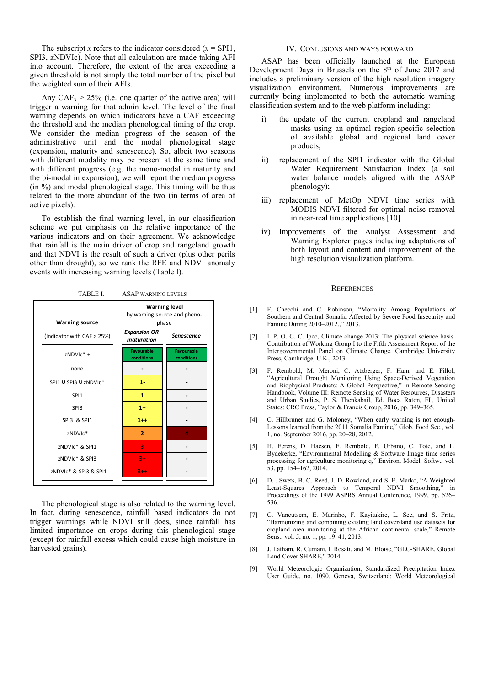The subscript *x* refers to the indicator considered  $(x = SPI1)$ , SPI3, zNDVIc). Note that all calculation are made taking AFI into account. Therefore, the extent of the area exceeding a given threshold is not simply the total number of the pixel but the weighted sum of their AFIs.

Any  $CAF_x > 25\%$  (i.e. one quarter of the active area) will trigger a warning for that admin level. The level of the final warning depends on which indicators have a CAF exceeding the threshold and the median phenological timing of the crop. We consider the median progress of the season of the administrative unit and the modal phenological stage (expansion, maturity and senescence). So, albeit two seasons with different modality may be present at the same time and with different progress (e.g. the mono-modal in maturity and the bi-modal in expansion), we will report the median progress (in %) and modal phenological stage. This timing will be thus related to the more abundant of the two (in terms of area of active pixels).

To establish the final warning level, in our classification scheme we put emphasis on the relative importance of the various indicators and on their agreement. We acknowledge that rainfall is the main driver of crop and rangeland growth and that NDVI is the result of such a driver (plus other perils other than drought), so we rank the RFE and NDVI anomaly events with increasing warning levels (Table I).

| TABLE I.                   | <b>ASAP WARNING LEVELS</b>                                    |                                 |
|----------------------------|---------------------------------------------------------------|---------------------------------|
| <b>Warning source</b>      | <b>Warning level</b><br>by warning source and pheno-<br>phase |                                 |
| (Indicator with CAF > 25%) | <b>Expansion OR</b><br>maturation                             | Senescence                      |
| $zNDVlc* +$                | Favourable<br>conditions                                      | <b>Favourable</b><br>conditions |
| none                       |                                                               |                                 |
| SPI1 U SPI3 U zNDVIC*      | $1 -$                                                         |                                 |
| SPI <sub>1</sub>           | 1                                                             |                                 |
| SPI3                       | $1+$                                                          |                                 |
| SPI3 & SPI1                | $1 +$                                                         |                                 |
| zNDVIc*                    | $\overline{2}$                                                | 4                               |
| zNDVIc* & SPI1             | 3                                                             |                                 |
| zNDVIc* & SPI3             | $3+$                                                          |                                 |
| zNDVIc* & SPI3 & SPI1      | $3 + 1$                                                       |                                 |
|                            |                                                               |                                 |

The phenological stage is also related to the warning level. In fact, during senescence, rainfall based indicators do not trigger warnings while NDVI still does, since rainfall has limited importance on crops during this phenological stage (except for rainfall excess which could cause high moisture in harvested grains).

## IV. CONLUSIONS AND WAYS FORWARD

ASAP has been officially launched at the European Development Days in Brussels on the  $8<sup>th</sup>$  of June 2017 and includes a preliminary version of the high resolution imagery visualization environment. Numerous improvements are currently being implemented to both the automatic warning classification system and to the web platform including:

- i) the update of the current cropland and rangeland masks using an optimal region-specific selection of available global and regional land cover products;
- ii) replacement of the SPI1 indicator with the Global Water Requirement Satisfaction Index (a soil water balance models aligned with the ASAP phenology);
- iii) replacement of MetOp NDVI time series with MODIS NDVI filtered for optimal noise removal in near-real time applications [10].
- iv) Improvements of the Analyst Assessment and Warning Explorer pages including adaptations of both layout and content and improvement of the high resolution visualization platform.

#### **REFERENCES**

- [1] F. Checchi and C. Robinson, "Mortality Among Populations of Southern and Central Somalia Affected by Severe Food Insecurity and Famine During 2010–2012.," 2013.
- [2] I. P. O. C. C. Ipcc, Climate change 2013: The physical science basis. Contribution of Working Group I to the Fifth Assessment Report of the Intergovernmental Panel on Climate Change. Cambridge University Press, Cambridge, U.K., 2013.
- [3] F. Rembold, M. Meroni, C. Atzberger, F. Ham, and E. Fillol, "Agricultural Drought Monitoring Using Space-Derived Vegetation and Biophysical Products: A Global Perspective," in Remote Sensing Handbook, Volume III: Remote Sensing of Water Resources, Disasters and Urban Studies, P. S. Thenkabail, Ed. Boca Raton, FL, United States: CRC Press, Taylor & Francis Group, 2016, pp. 349–365.
- [4] C. Hillbruner and G. Moloney, "When early warning is not enough-Lessons learned from the 2011 Somalia Famine," Glob. Food Sec., vol. 1, no. September 2016, pp. 20–28, 2012.
- [5] H. Eerens, D. Haesen, F. Rembold, F. Urbano, C. Tote, and L. Bydekerke, "Environmental Modelling & Software Image time series processing for agriculture monitoring q," Environ. Model. Softw., vol. 53, pp. 154–162, 2014.
- [6] D. . Swets, B. C. Reed, J. D. Rowland, and S. E. Marko, "A Weighted Least-Squares Approach to Temporal NDVI Smoothing." in Proceedings of the 1999 ASPRS Annual Conference, 1999, pp. 526– 536.
- [7] C. Vancutsem, E. Marinho, F. Kayitakire, L. See, and S. Fritz, "Harmonizing and combining existing land cover/land use datasets for cropland area monitoring at the African continental scale," Remote Sens., vol. 5, no. 1, pp. 19–41, 2013.
- [8] J. Latham, R. Cumani, I. Rosati, and M. Bloise, "GLC-SHARE, Global Land Cover SHARE," 2014.
- [9] World Meteorologic Organization, Standardized Precipitation Index User Guide, no. 1090. Geneva, Switzerland: World Meteorological